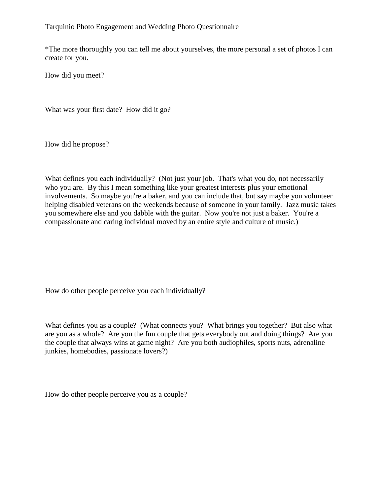Tarquinio Photo Engagement and Wedding Photo Questionnaire

\*The more thoroughly you can tell me about yourselves, the more personal a set of photos I can create for you.

How did you meet?

What was your first date? How did it go?

How did he propose?

What defines you each individually? (Not just your job. That's what you do, not necessarily who you are. By this I mean something like your greatest interests plus your emotional involvements. So maybe you're a baker, and you can include that, but say maybe you volunteer helping disabled veterans on the weekends because of someone in your family. Jazz music takes you somewhere else and you dabble with the guitar. Now you're not just a baker. You're a compassionate and caring individual moved by an entire style and culture of music.)

How do other people perceive you each individually?

What defines you as a couple? (What connects you? What brings you together? But also what are you as a whole? Are you the fun couple that gets everybody out and doing things? Are you the couple that always wins at game night? Are you both audiophiles, sports nuts, adrenaline junkies, homebodies, passionate lovers?)

How do other people perceive you as a couple?